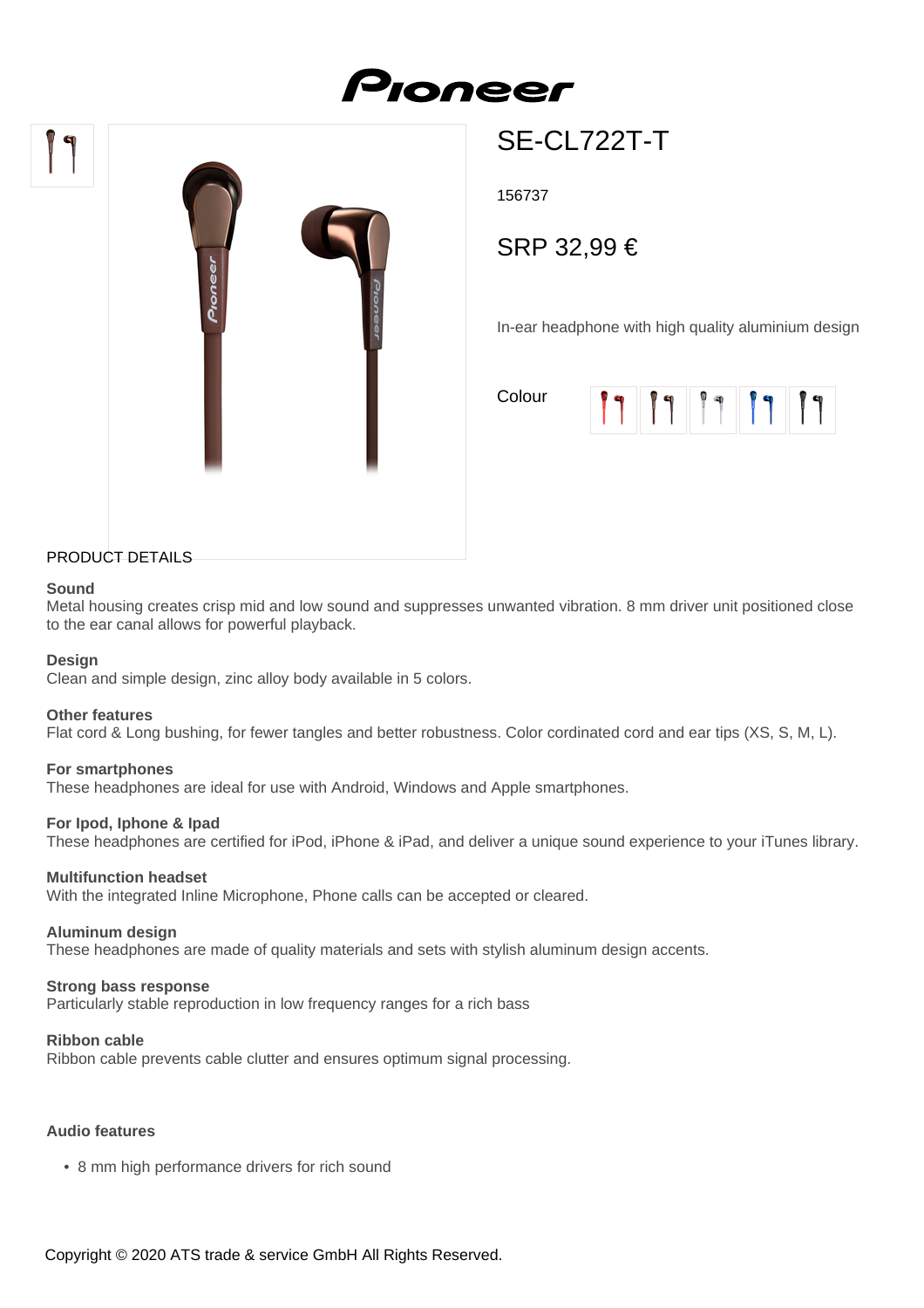# Proneer



# SE-CL722T-T

156737

SRP 32,99 €

In-ear headphone with high quality aluminium design

Colour

| l d | $\blacksquare$ | <b>0 q</b> | $\mathbf{G}$ |
|-----|----------------|------------|--------------|
|     |                |            |              |

# PRODUCT DETAILS

#### **Sound**

Metal housing creates crisp mid and low sound and suppresses unwanted vibration. 8 mm driver unit positioned close to the ear canal allows for powerful playback.

#### **Design**

Clean and simple design, zinc alloy body available in 5 colors.

#### **Other features**

Flat cord & Long bushing, for fewer tangles and better robustness. Color cordinated cord and ear tips (XS, S, M, L).

#### **For smartphones**

These headphones are ideal for use with Android, Windows and Apple smartphones.

#### **For Ipod, Iphone & Ipad**

These headphones are certified for iPod, iPhone & iPad, and deliver a unique sound experience to your iTunes library.

#### **Multifunction headset**

With the integrated Inline Microphone, Phone calls can be accepted or cleared.

#### **Aluminum design**

These headphones are made of quality materials and sets with stylish aluminum design accents.

#### **Strong bass response**

Particularly stable reproduction in low frequency ranges for a rich bass

#### **Ribbon cable**

Ribbon cable prevents cable clutter and ensures optimum signal processing.

# **Audio features**

• 8 mm high performance drivers for rich sound

Copyright © 2020 ATS trade & service GmbH All Rights Reserved.